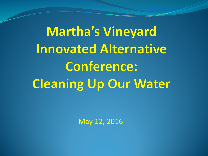**Martha's Vineyard Innovated Alternative Conference: Cleaning Up Our Water** 

May 12, 2016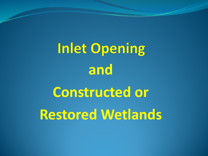**Inlet Opening and Constructed or Restored Wetlands**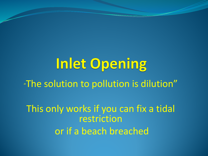Inlet Opening "The solution to pollution is dilution" This only works if you can fix a tidal restriction or if a beach breached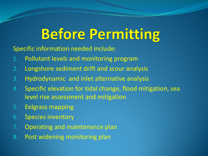## **Before Permitting**

Specific information needed include:

- 1. Pollutant levels and monitoring program
- 2. Longshore sediment drift and scour analysis
- 3. Hydrodynamic and inlet alternative analysis
- 4. Specific elevation for tidal change, flood mitigation, sea level rise assessment and mitigation
- 5. Eelgrass mapping
- 6. Species inventory
- 7. Operating and maintenance plan
- 8. Post widening monitoring plan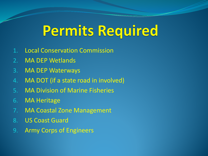#### Permits Required

- 1. Local Conservation Commission
- 2. MA DEP Wetlands
- 3. MA DEP Waterways
- 4. MA DOT (if a state road in involved)
- 5. MA Division of Marine Fisheries
- 6. MA Heritage
- 7. MA Coastal Zone Management
- 8. US Coast Guard
- 9. Army Corps of Engineers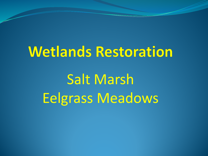# **Wetlands Restoration**

Salt Marsh Eelgrass Meadows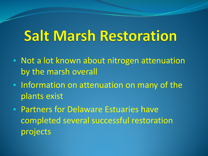## **Salt Marsh Restoration**

- Not a lot known about nitrogen attenuation by the marsh overall
- Information on attenuation on many of the plants exist
- Partners for Delaware Estuaries have completed several successful restoration projects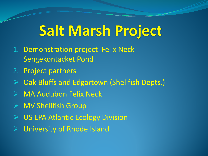## Salt Marsh Project

- 1. Demonstration project Felix Neck Sengekontacket Pond
- 2. Project partners
- $\triangleright$  Oak Bluffs and Edgartown (Shellfish Depts.)
- MA Audubon Felix Neck
- $\triangleright$  MV Shellfish Group
- US EPA Atlantic Ecology Division
- University of Rhode Island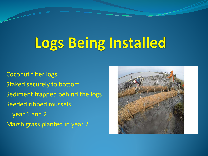## Logs Being Installed

Coconut fiber logs Staked securely to bottom Sediment trapped behind the logs Seeded ribbed mussels year 1 and 2 Marsh grass planted in year 2

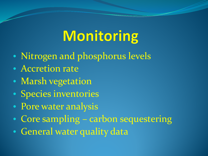## Monitoring

- Nitrogen and phosphorus levels
- Accretion rate
- Marsh vegetation
- Species inventories
- Pore water analysis
- Core sampling carbon sequestering
- General water quality data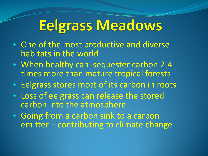#### **Eelgrass Meadows**

- One of the most productive and diverse habitats in the world
- When healthy can sequester carbon 2-4 times more than mature tropical forests
- Eelgrass stores most of its carbon in roots
- Loss of eelgrass can release the stored carbon into the atmosphere
- Going from a carbon sink to a carbon emitter – contributing to climate change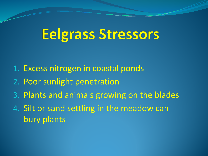#### **Eelgrass Stressors**

- 1. Excess nitrogen in coastal ponds
- 2. Poor sunlight penetration
- 3. Plants and animals growing on the blades
- 4. Silt or sand settling in the meadow can bury plants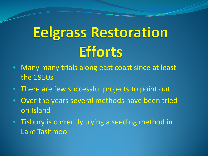## **Eelgrass Restoration Efforts**

- Many many trials along east coast since at least the 1950s
- There are few successful projects to point out
- Over the years several methods have been tried on Island
- Tisbury is currently trying a seeding method in Lake Tashmoo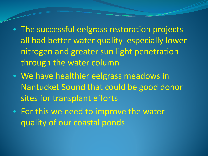- The successful eelgrass restoration projects all had better water quality especially lower nitrogen and greater sun light penetration through the water column
- We have healthier eelgrass meadows in Nantucket Sound that could be good donor sites for transplant efforts
- For this we need to improve the water quality of our coastal ponds